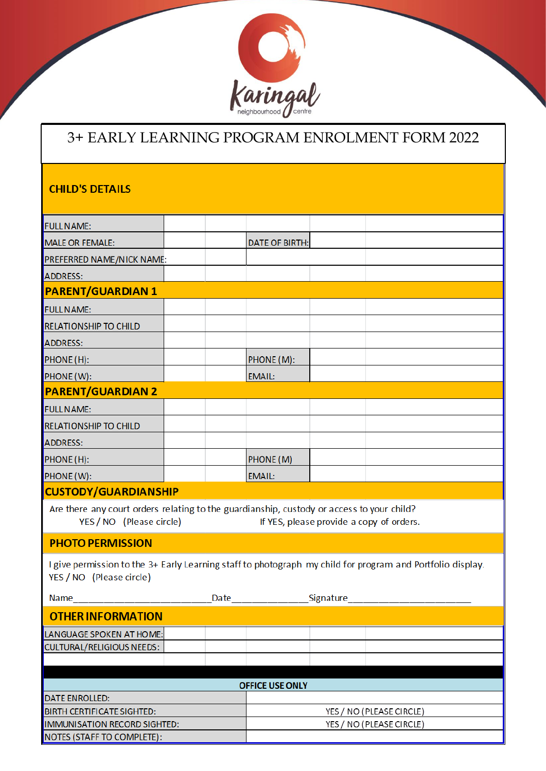

## 3+ EARLY LEARNING PROGRAM ENROLMENT FORM 2022

#### **CHILD'S DETAILS**

| <b>FULL NAME:</b>                                                                                                     |  |  |                          |                          |                                                                                                            |  |  |  |  |  |  |
|-----------------------------------------------------------------------------------------------------------------------|--|--|--------------------------|--------------------------|------------------------------------------------------------------------------------------------------------|--|--|--|--|--|--|
| MALE OR FEMALE:                                                                                                       |  |  | <b>DATE OF BIRTH:</b>    |                          |                                                                                                            |  |  |  |  |  |  |
| <b>PREFERRED NAME/NICK NAME:</b>                                                                                      |  |  |                          |                          |                                                                                                            |  |  |  |  |  |  |
| <b>ADDRESS:</b>                                                                                                       |  |  |                          |                          |                                                                                                            |  |  |  |  |  |  |
| <b>PARENT/GUARDIAN 1</b>                                                                                              |  |  |                          |                          |                                                                                                            |  |  |  |  |  |  |
| <b>FULL NAME:</b>                                                                                                     |  |  |                          |                          |                                                                                                            |  |  |  |  |  |  |
| <b>RELATIONSHIP TO CHILD</b>                                                                                          |  |  |                          |                          |                                                                                                            |  |  |  |  |  |  |
| <b>ADDRESS:</b>                                                                                                       |  |  |                          |                          |                                                                                                            |  |  |  |  |  |  |
| PHONE (H):                                                                                                            |  |  | PHONE (M):               |                          |                                                                                                            |  |  |  |  |  |  |
| PHONE (W):                                                                                                            |  |  | <b>EMAIL:</b>            |                          |                                                                                                            |  |  |  |  |  |  |
| <b>PARENT/GUARDIAN 2</b>                                                                                              |  |  |                          |                          |                                                                                                            |  |  |  |  |  |  |
| <b>FULL NAME:</b>                                                                                                     |  |  |                          |                          |                                                                                                            |  |  |  |  |  |  |
| <b>RELATIONSHIP TO CHILD</b>                                                                                          |  |  |                          |                          |                                                                                                            |  |  |  |  |  |  |
| <b>ADDRESS:</b>                                                                                                       |  |  |                          |                          |                                                                                                            |  |  |  |  |  |  |
| PHONE (H):                                                                                                            |  |  | PHONE (M)                |                          |                                                                                                            |  |  |  |  |  |  |
| PHONE (W):                                                                                                            |  |  | EMAIL:                   |                          |                                                                                                            |  |  |  |  |  |  |
| <b>CUSTODY/GUARDIANSHIP</b>                                                                                           |  |  |                          |                          |                                                                                                            |  |  |  |  |  |  |
| Are there any court orders relating to the guardianship, custody or access to your child?<br>YES / NO (Please circle) |  |  |                          |                          | If YES, please provide a copy of orders.                                                                   |  |  |  |  |  |  |
| <b>PHOTO PERMISSION</b>                                                                                               |  |  |                          |                          |                                                                                                            |  |  |  |  |  |  |
| YES / NO (Please circle)                                                                                              |  |  |                          |                          | I give permission to the 3+ Early Learning staff to photograph my child for program and Portfolio display. |  |  |  |  |  |  |
| Name                                                                                                                  |  |  | Date Signature           |                          |                                                                                                            |  |  |  |  |  |  |
| <b>OTHER INFORMATION</b>                                                                                              |  |  |                          |                          |                                                                                                            |  |  |  |  |  |  |
| LANGUAGE SPOKEN AT HOME:                                                                                              |  |  |                          |                          |                                                                                                            |  |  |  |  |  |  |
| <b>CULTURAL/RELIGIOUS NEEDS:</b>                                                                                      |  |  |                          |                          |                                                                                                            |  |  |  |  |  |  |
|                                                                                                                       |  |  |                          |                          |                                                                                                            |  |  |  |  |  |  |
| <b>OFFICE USE ONLY</b>                                                                                                |  |  |                          |                          |                                                                                                            |  |  |  |  |  |  |
| DATE ENROLLED:                                                                                                        |  |  |                          |                          |                                                                                                            |  |  |  |  |  |  |
| <b>BIRTH CERTIFICATE SIGHTED:</b>                                                                                     |  |  | YES / NO (PLEASE CIRCLE) |                          |                                                                                                            |  |  |  |  |  |  |
| IMMUNISATION RECORD SIGHTED:                                                                                          |  |  |                          | YES / NO (PLEASE CIRCLE) |                                                                                                            |  |  |  |  |  |  |
| NOTES (STAFF TO COMPLETE):                                                                                            |  |  |                          |                          |                                                                                                            |  |  |  |  |  |  |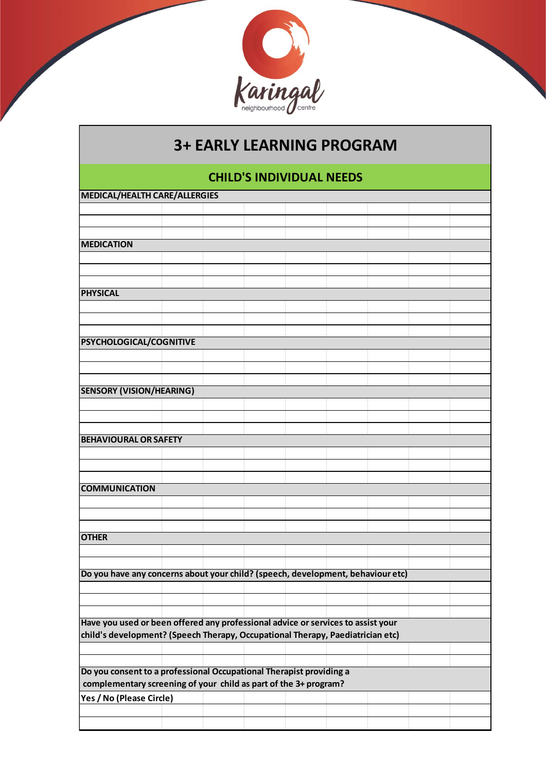

# **3+ EARLY LEARNING PROGRAM**

### **CHILD'S INDIVIDUAL NEEDS**

|                          |                                                                                                   | complementary screening of your child as part of the 3+ program? |  |                                                                     |                                                                                                                                                                    |                                                                                 |
|--------------------------|---------------------------------------------------------------------------------------------------|------------------------------------------------------------------|--|---------------------------------------------------------------------|--------------------------------------------------------------------------------------------------------------------------------------------------------------------|---------------------------------------------------------------------------------|
|                          |                                                                                                   |                                                                  |  |                                                                     |                                                                                                                                                                    |                                                                                 |
| Yes / No (Please Circle) |                                                                                                   |                                                                  |  |                                                                     |                                                                                                                                                                    |                                                                                 |
|                          | <b>PSYCHOLOGICAL/COGNITIVE</b><br><b>SENSORY (VISION/HEARING)</b><br><b>BEHAVIOURAL OR SAFETY</b> | <b>MEDICAL/HEALTH CARE/ALLERGIES</b>                             |  | Do you consent to a professional Occupational Therapist providing a | Have you used or been offered any professional advice or services to assist your<br>child's development? (Speech Therapy, Occupational Therapy, Paediatrician etc) | Do you have any concerns about your child? (speech, development, behaviour etc) |